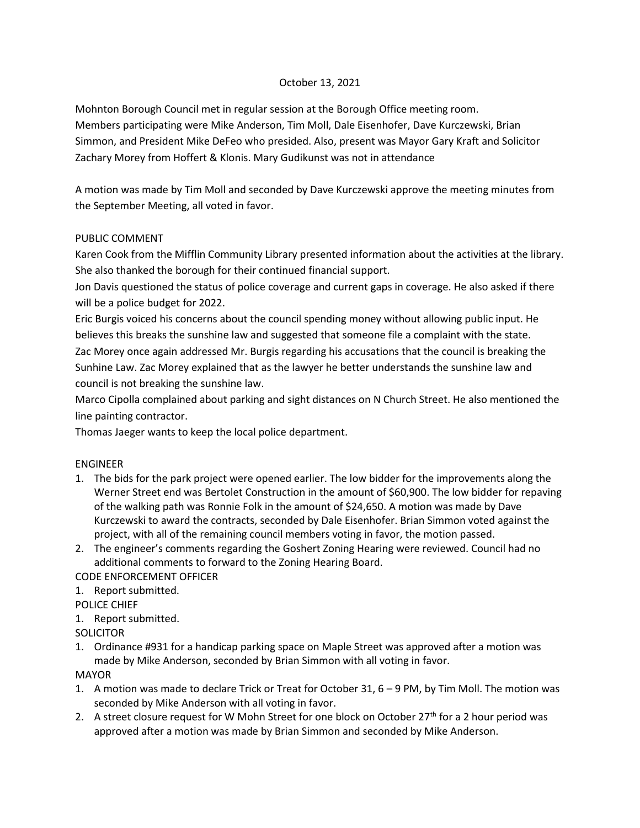## October 13, 2021

Mohnton Borough Council met in regular session at the Borough Office meeting room. Members participating were Mike Anderson, Tim Moll, Dale Eisenhofer, Dave Kurczewski, Brian Simmon, and President Mike DeFeo who presided. Also, present was Mayor Gary Kraft and Solicitor Zachary Morey from Hoffert & Klonis. Mary Gudikunst was not in attendance

A motion was made by Tim Moll and seconded by Dave Kurczewski approve the meeting minutes from the September Meeting, all voted in favor.

## PUBLIC COMMENT

Karen Cook from the Mifflin Community Library presented information about the activities at the library. She also thanked the borough for their continued financial support.

Jon Davis questioned the status of police coverage and current gaps in coverage. He also asked if there will be a police budget for 2022.

Eric Burgis voiced his concerns about the council spending money without allowing public input. He believes this breaks the sunshine law and suggested that someone file a complaint with the state. Zac Morey once again addressed Mr. Burgis regarding his accusations that the council is breaking the Sunhine Law. Zac Morey explained that as the lawyer he better understands the sunshine law and council is not breaking the sunshine law.

Marco Cipolla complained about parking and sight distances on N Church Street. He also mentioned the line painting contractor.

Thomas Jaeger wants to keep the local police department.

## ENGINEER

- 1. The bids for the park project were opened earlier. The low bidder for the improvements along the Werner Street end was Bertolet Construction in the amount of \$60,900. The low bidder for repaving of the walking path was Ronnie Folk in the amount of \$24,650. A motion was made by Dave Kurczewski to award the contracts, seconded by Dale Eisenhofer. Brian Simmon voted against the project, with all of the remaining council members voting in favor, the motion passed.
- 2. The engineer's comments regarding the Goshert Zoning Hearing were reviewed. Council had no additional comments to forward to the Zoning Hearing Board.

CODE ENFORCEMENT OFFICER

1. Report submitted.

POLICE CHIEF

- 1. Report submitted.
- **SOLICITOR**
- 1. Ordinance #931 for a handicap parking space on Maple Street was approved after a motion was made by Mike Anderson, seconded by Brian Simmon with all voting in favor.

MAYOR

- 1. A motion was made to declare Trick or Treat for October 31, 6 9 PM, by Tim Moll. The motion was seconded by Mike Anderson with all voting in favor.
- 2. A street closure request for W Mohn Street for one block on October 27<sup>th</sup> for a 2 hour period was approved after a motion was made by Brian Simmon and seconded by Mike Anderson.